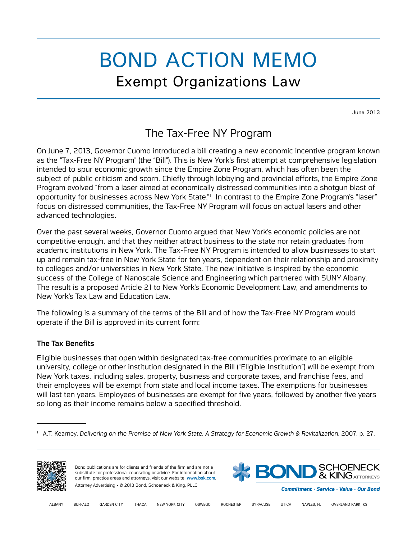# BOND ACTION MEMO Exempt Organizations Law

June 2013

## The Tax-Free NY Program

On June 7, 2013, Governor Cuomo introduced a bill creating a new economic incentive program known as the "Tax-Free NY Program" (the "Bill"). This is New York's first attempt at comprehensive legislation intended to spur economic growth since the Empire Zone Program, which has often been the subject of public criticism and scorn. Chiefly through lobbying and provincial efforts, the Empire Zone Program evolved "from a laser aimed at economically distressed communities into a shotgun blast of opportunity for businesses across New York State." In contrast to the Empire Zone Program's "laser" focus on distressed communities, the Tax-Free NY Program will focus on actual lasers and other advanced technologies.

Over the past several weeks, Governor Cuomo argued that New York's economic policies are not competitive enough, and that they neither attract business to the state nor retain graduates from academic institutions in New York. The Tax-Free NY Program is intended to allow businesses to start up and remain tax-free in New York State for ten years, dependent on their relationship and proximity to colleges and/or universities in New York State. The new initiative is inspired by the economic success of the College of Nanoscale Science and Engineering which partnered with SUNY Albany. The result is a proposed Article 21 to New York's Economic Development Law, and amendments to New York's Tax Law and Education Law.

The following is a summary of the terms of the Bill and of how the Tax-Free NY Program would operate if the Bill is approved in its current form:

### The Tax Benefits

Eligible businesses that open within designated tax-free communities proximate to an eligible university, college or other institution designated in the Bill ("Eligible Institution") will be exempt from New York taxes, including sales, property, business and corporate taxes, and franchise fees, and their employees will be exempt from state and local income taxes. The exemptions for businesses will last ten years. Employees of businesses are exempt for five years, followed by another five years so long as their income remains below a specified threshold.

<sup>1</sup> A.T. Kearney, *Delivering on the Promise of New York State: A Strategy for Economic Growth & Revitalization*, 2007, p. 27.





Commitment · Service · Value · Our Bond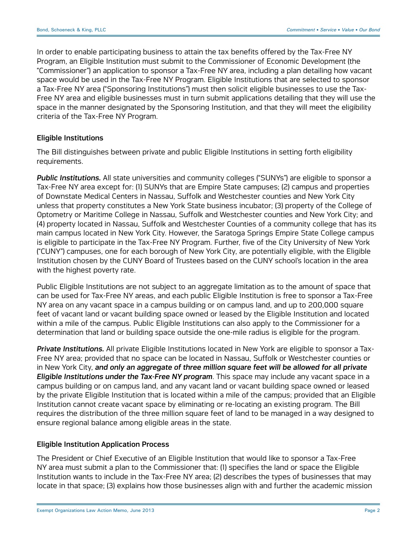In order to enable participating business to attain the tax benefits offered by the Tax-Free NY Program, an Eligible Institution must submit to the Commissioner of Economic Development (the "Commissioner") an application to sponsor a Tax-Free NY area, including a plan detailing how vacant space would be used in the Tax-Free NY Program. Eligible Institutions that are selected to sponsor a Tax-Free NY area ("Sponsoring Institutions") must then solicit eligible businesses to use the Tax-Free NY area and eligible businesses must in turn submit applications detailing that they will use the space in the manner designated by the Sponsoring Institution, and that they will meet the eligibility criteria of the Tax-Free NY Program.

#### Eligible Institutions

The Bill distinguishes between private and public Eligible Institutions in setting forth eligibility requirements.

*Public Institutions.* All state universities and community colleges ("SUNYs") are eligible to sponsor a Tax-Free NY area except for: (1) SUNYs that are Empire State campuses; (2) campus and properties of Downstate Medical Centers in Nassau, Suffolk and Westchester counties and New York City unless that property constitutes a New York State business incubator; (3) property of the College of Optometry or Maritime College in Nassau, Suffolk and Westchester counties and New York City; and (4) property located in Nassau, Suffolk and Westchester Counties of a community college that has its main campus located in New York City. However, the Saratoga Springs Empire State College campus is eligible to participate in the Tax-Free NY Program. Further, five of the City University of New York ("CUNY") campuses, one for each borough of New York City, are potentially eligible, with the Eligible Institution chosen by the CUNY Board of Trustees based on the CUNY school's location in the area with the highest poverty rate.

Public Eligible Institutions are not subject to an aggregate limitation as to the amount of space that can be used for Tax-Free NY areas, and each public Eligible Institution is free to sponsor a Tax-Free NY area on any vacant space in a campus building or on campus land, and up to 200,000 square feet of vacant land or vacant building space owned or leased by the Eligible Institution and located within a mile of the campus. Public Eligible Institutions can also apply to the Commissioner for a determination that land or building space outside the one-mile radius is eligible for the program.

*Private Institutions.* All private Eligible Institutions located in New York are eligible to sponsor a Tax-Free NY area; provided that no space can be located in Nassau, Suffolk or Westchester counties or in New York City, *and only an aggregate of three million square feet will be allowed for all private Eligible Institutions under the Tax-Free NY program*. This space may include any vacant space in a campus building or on campus land, and any vacant land or vacant building space owned or leased by the private Eligible Institution that is located within a mile of the campus; provided that an Eligible Institution cannot create vacant space by eliminating or re-locating an existing program. The Bill requires the distribution of the three million square feet of land to be managed in a way designed to ensure regional balance among eligible areas in the state.

#### Eligible Institution Application Process

The President or Chief Executive of an Eligible Institution that would like to sponsor a Tax-Free NY area must submit a plan to the Commissioner that: (1) specifies the land or space the Eligible Institution wants to include in the Tax-Free NY area; (2) describes the types of businesses that may locate in that space; (3) explains how those businesses align with and further the academic mission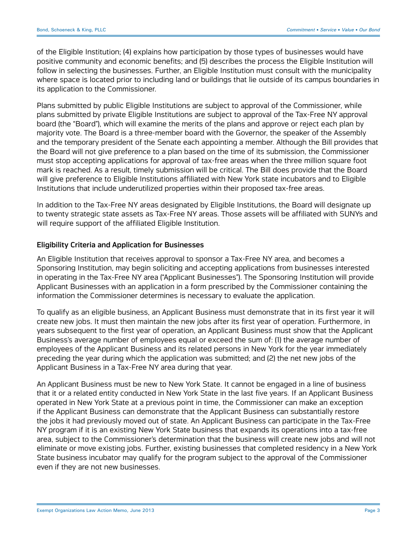of the Eligible Institution; (4) explains how participation by those types of businesses would have positive community and economic benefits; and (5) describes the process the Eligible Institution will follow in selecting the businesses. Further, an Eligible Institution must consult with the municipality where space is located prior to including land or buildings that lie outside of its campus boundaries in its application to the Commissioner.

Plans submitted by public Eligible Institutions are subject to approval of the Commissioner, while plans submitted by private Eligible Institutions are subject to approval of the Tax-Free NY approval board (the "Board"), which will examine the merits of the plans and approve or reject each plan by majority vote. The Board is a three-member board with the Governor, the speaker of the Assembly and the temporary president of the Senate each appointing a member. Although the Bill provides that the Board will not give preference to a plan based on the time of its submission, the Commissioner must stop accepting applications for approval of tax-free areas when the three million square foot mark is reached. As a result, timely submission will be critical. The Bill does provide that the Board will give preference to Eligible Institutions affiliated with New York state incubators and to Eligible Institutions that include underutilized properties within their proposed tax-free areas.

In addition to the Tax-Free NY areas designated by Eligible Institutions, the Board will designate up to twenty strategic state assets as Tax-Free NY areas. Those assets will be affiliated with SUNYs and will require support of the affiliated Eligible Institution.

#### Eligibility Criteria and Application for Businesses

An Eligible Institution that receives approval to sponsor a Tax-Free NY area, and becomes a Sponsoring Institution, may begin soliciting and accepting applications from businesses interested in operating in the Tax-Free NY area ("Applicant Businesses"). The Sponsoring Institution will provide Applicant Businesses with an application in a form prescribed by the Commissioner containing the information the Commissioner determines is necessary to evaluate the application.

To qualify as an eligible business, an Applicant Business must demonstrate that in its first year it will create new jobs. It must then maintain the new jobs after its first year of operation. Furthermore, in years subsequent to the first year of operation, an Applicant Business must show that the Applicant Business's average number of employees equal or exceed the sum of: (1) the average number of employees of the Applicant Business and its related persons in New York for the year immediately preceding the year during which the application was submitted; and (2) the net new jobs of the Applicant Business in a Tax-Free NY area during that year.

An Applicant Business must be new to New York State. It cannot be engaged in a line of business that it or a related entity conducted in New York State in the last five years. If an Applicant Business operated in New York State at a previous point in time, the Commissioner can make an exception if the Applicant Business can demonstrate that the Applicant Business can substantially restore the jobs it had previously moved out of state. An Applicant Business can participate in the Tax-Free NY program if it is an existing New York State business that expands its operations into a tax-free area, subject to the Commissioner's determination that the business will create new jobs and will not eliminate or move existing jobs. Further, existing businesses that completed residency in a New York State business incubator may qualify for the program subject to the approval of the Commissioner even if they are not new businesses.